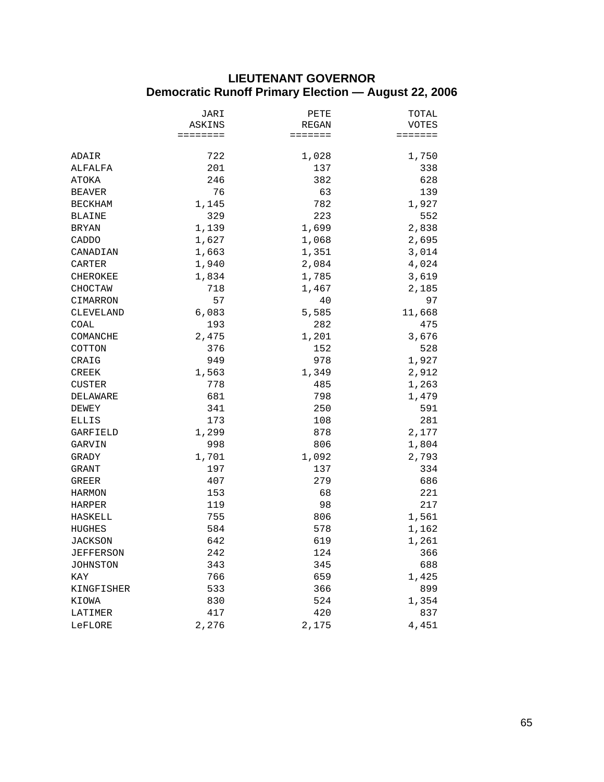# **LIEUTENANT GOVERNOR Democratic Runoff Primary Election — August 22, 2006**

|                | JARI     | PETE    | TOTAL   |
|----------------|----------|---------|---------|
|                | ASKINS   | REGAN   | VOTES   |
|                | ======== | ======= | ======= |
| ADAIR          | 722      | 1,028   | 1,750   |
| ALFALFA        | 201      | 137     | 338     |
| ATOKA          | 246      | 382     | 628     |
| <b>BEAVER</b>  | 76       | 63      | 139     |
| BECKHAM        | 1,145    | 782     | 1,927   |
| BLAINE         | 329      | 223     | 552     |
| <b>BRYAN</b>   | 1,139    | 1,699   | 2,838   |
| CADDO          | 1,627    | 1,068   | 2,695   |
| CANADIAN       | 1,663    | 1,351   | 3,014   |
| CARTER         | 1,940    | 2,084   | 4,024   |
| CHEROKEE       | 1,834    | 1,785   | 3,619   |
| CHOCTAW        | 718      | 1,467   | 2,185   |
| CIMARRON       | 57       | 40      | 97      |
| CLEVELAND      | 6,083    | 5,585   | 11,668  |
| COAL           | 193      | 282     | 475     |
| COMANCHE       | 2,475    | 1,201   | 3,676   |
| COTTON         | 376      | 152     | 528     |
| CRAIG          | 949      | 978     | 1,927   |
| <b>CREEK</b>   | 1,563    | 1,349   | 2,912   |
| CUSTER         | 778      | 485     | 1,263   |
| DELAWARE       | 681      | 798     | 1,479   |
| DEWEY          | 341      | 250     | 591     |
| ELLIS          | 173      | 108     | 281     |
| GARFIELD       | 1,299    | 878     | 2,177   |
| GARVIN         | 998      | 806     | 1,804   |
| GRADY          | 1,701    | 1,092   | 2,793   |
| GRANT          | 197      | 137     | 334     |
| GREER          | 407      | 279     | 686     |
| HARMON         | 153      | 68      | 221     |
| HARPER         | 119      | 98      | 217     |
| HASKELL        | 755      | 806     | 1,561   |
| <b>HUGHES</b>  | 584      | 578     | 1,162   |
| <b>JACKSON</b> | 642      | 619     | 1,261   |
| JEFFERSON      | 242      | 124     | 366     |
| JOHNSTON       | 343      | 345     | 688     |
| KAY            | 766      | 659     | 1,425   |
| KINGFISHER     | 533      | 366     | 899     |
| KIOWA          | 830      | 524     | 1,354   |
| LATIMER        | 417      | 420     | 837     |
| LeFLORE        | 2,276    | 2,175   | 4,451   |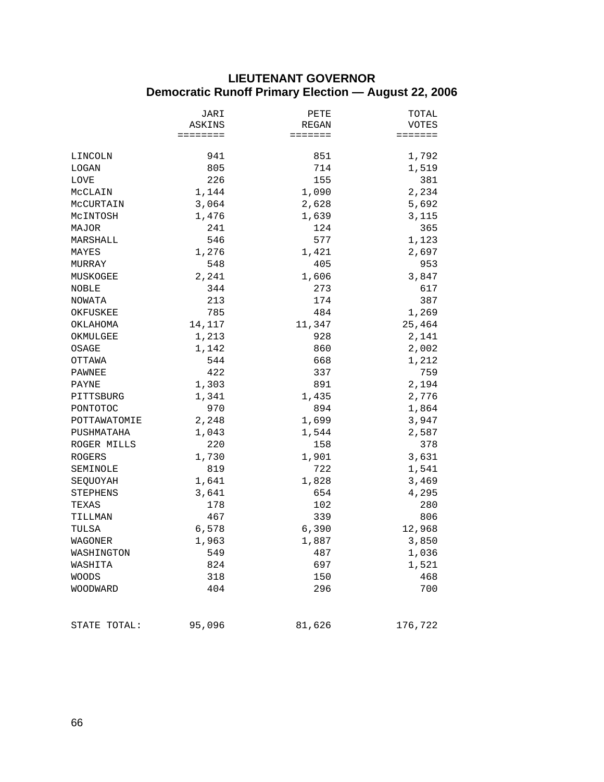# **LIEUTENANT GOVERNOR Democratic Runoff Primary Election — August 22, 2006**

|               | JARI     | PETE    | TOTAL   |
|---------------|----------|---------|---------|
|               | ASKINS   | REGAN   | VOTES   |
|               | ======== | ======= | ======= |
| LINCOLN       | 941      | 851     | 1,792   |
| LOGAN         | 805      | 714     | 1,519   |
| <b>LOVE</b>   | 226      | 155     | 381     |
| MCCLAIN       | 1,144    | 1,090   | 2,234   |
| MCCURTAIN     | 3,064    | 2,628   | 5,692   |
| MCINTOSH      | 1,476    | 1,639   | 3,115   |
| MAJOR         | 241      | 124     | 365     |
| MARSHALL      | 546      | 577     | 1,123   |
| MAYES         | 1,276    | 1,421   | 2,697   |
| MURRAY        | 548      | 405     | 953     |
| MUSKOGEE      | 2,241    | 1,606   | 3,847   |
| NOBLE         | 344      | 273     | 617     |
| NOWATA        | 213      | 174     | 387     |
| OKFUSKEE      | 785      | 484     | 1,269   |
| OKLAHOMA      | 14,117   | 11,347  | 25,464  |
| OKMULGEE      | 1,213    | 928     | 2,141   |
| OSAGE         | 1,142    | 860     | 2,002   |
| OTTAWA        | 544      | 668     | 1,212   |
| PAWNEE        | 422      | 337     | 759     |
| PAYNE         | 1,303    | 891     | 2,194   |
| PITTSBURG     | 1,341    | 1,435   | 2,776   |
| PONTOTOC      | 970      | 894     | 1,864   |
| POTTAWATOMIE  | 2,248    | 1,699   | 3,947   |
| PUSHMATAHA    | 1,043    | 1,544   | 2,587   |
| ROGER MILLS   | 220      | 158     | 378     |
| <b>ROGERS</b> | 1,730    | 1,901   | 3,631   |
| SEMINOLE      | 819      | 722     | 1,541   |
| SEQUOYAH      | 1,641    | 1,828   | 3,469   |
| STEPHENS      | 3,641    | 654     | 4,295   |
| TEXAS         | 178      | 102     | 280     |
| TILLMAN       | 467      | 339     | 806     |
| TULSA         | 6,578    | 6,390   | 12,968  |
| WAGONER       | 1,963    | 1,887   | 3,850   |
| WASHINGTON    | 549      | 487     | 1,036   |
| WASHITA       | 824      | 697     | 1,521   |
| <b>WOODS</b>  | 318      | 150     | 468     |
| WOODWARD      | 404      | 296     | 700     |
|               |          |         |         |
| STATE TOTAL:  | 95,096   | 81,626  | 176,722 |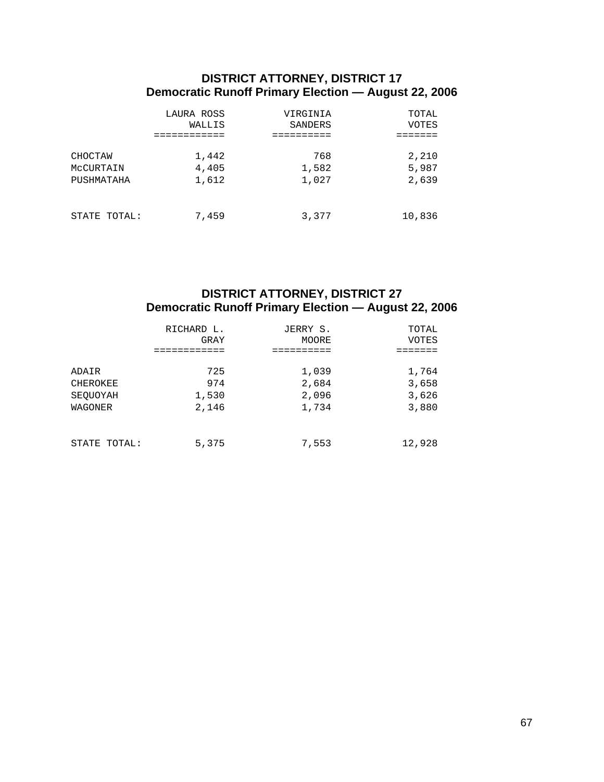## **DISTRICT ATTORNEY, DISTRICT 17 Democratic Runoff Primary Election — August 22, 2006**

|              | LAURA ROSS | VIRGINIA | TOTAL  |
|--------------|------------|----------|--------|
|              | WALLIS     | SANDERS  | VOTES  |
| CHOCTAW      | 1,442      | 768      | 2,210  |
| MCCURTAIN    | 4,405      | 1,582    | 5,987  |
| PUSHMATAHA   | 1,612      | 1,027    | 2,639  |
| STATE TOTAL: | 7,459      | 3,377    | 10,836 |

## **DISTRICT ATTORNEY, DISTRICT 27 Democratic Runoff Primary Election — August 22, 2006**

|              | RICHARD L. | JERRY S. | TOTAL  |
|--------------|------------|----------|--------|
|              | GRAY       | MOORE    | VOTES  |
| ADAIR        | 725        | 1,039    | 1,764  |
| CHEROKEE     | 974        | 2,684    | 3,658  |
| SEOUOYAH     | 1,530      | 2,096    | 3,626  |
| WAGONER      | 2,146      | 1,734    | 3,880  |
| STATE TOTAL: | 5,375      | 7,553    | 12,928 |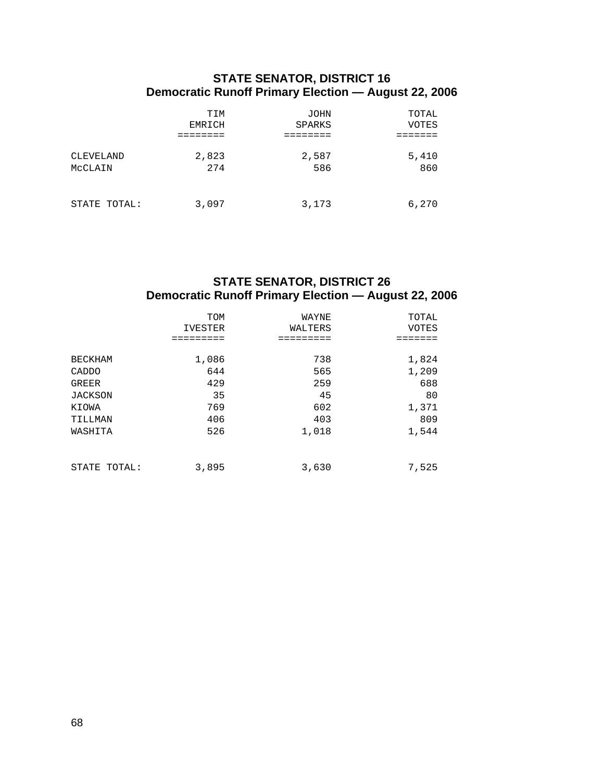### **STATE SENATOR, DISTRICT 16 Democratic Runoff Primary Election — August 22, 2006**

|              | TIM    | <b>JOHN</b> | TOTAL |
|--------------|--------|-------------|-------|
|              | EMRICH | SPARKS      | VOTES |
| CLEVELAND    | 2,823  | 2,587       | 5,410 |
| MCCLAIN      | 274    | 586         | 860   |
| STATE TOTAL: | 3,097  | 3,173       | 6,270 |

# **STATE SENATOR, DISTRICT 26 Democratic Runoff Primary Election — August 22, 2006**

|                | TOM<br>IVESTER | WAYNE<br>WALTERS | TOTAL<br><b>VOTES</b> |
|----------------|----------------|------------------|-----------------------|
| <b>BECKHAM</b> | 1,086          | 738              | 1,824                 |
| CADDO          | 644            | 565              | 1,209                 |
| <b>GREER</b>   | 429            | 259              | 688                   |
| JACKSON        | 35             | 45               | 80                    |
| KIOWA          | 769            | 602              | 1,371                 |
| TILLMAN        | 406            | 403              | 809                   |
| WASHITA        | 526            | 1,018            | 1,544                 |
| STATE TOTAL:   | 3,895          | 3,630            | 7,525                 |